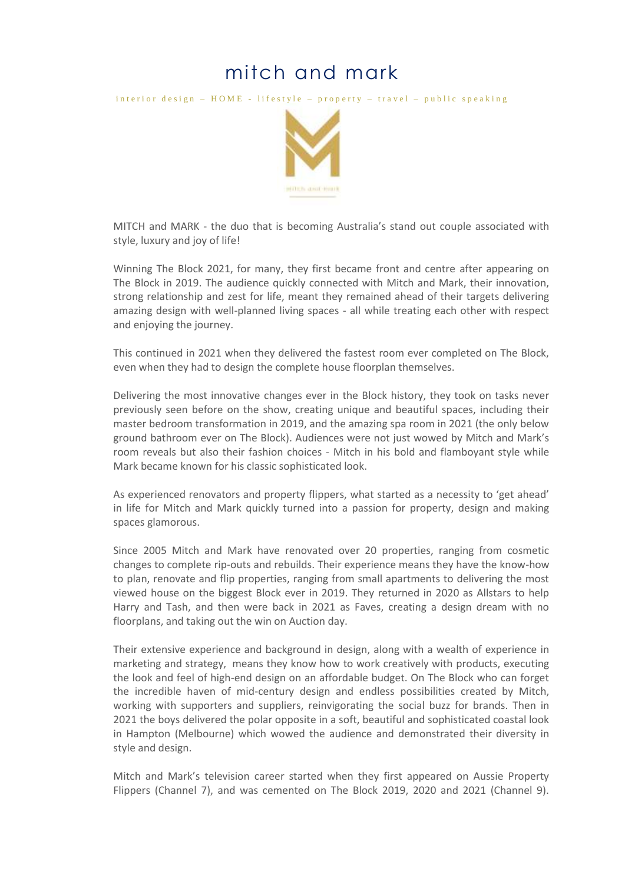## mitch and mark

interior design –  $HOME$  - lifestyle – property – travel – public speaking



MITCH and MARK - the duo that is becoming Australia's stand out couple associated with style, luxury and joy of life!

Winning The Block 2021, for many, they first became front and centre after appearing on The Block in 2019. The audience quickly connected with Mitch and Mark, their innovation, strong relationship and zest for life, meant they remained ahead of their targets delivering amazing design with well-planned living spaces - all while treating each other with respect and enjoying the journey.

This continued in 2021 when they delivered the fastest room ever completed on The Block, even when they had to design the complete house floorplan themselves.

Delivering the most innovative changes ever in the Block history, they took on tasks never previously seen before on the show, creating unique and beautiful spaces, including their master bedroom transformation in 2019, and the amazing spa room in 2021 (the only below ground bathroom ever on The Block). Audiences were not just wowed by Mitch and Mark's room reveals but also their fashion choices - Mitch in his bold and flamboyant style while Mark became known for his classic sophisticated look.

As experienced renovators and property flippers, what started as a necessity to 'get ahead' in life for Mitch and Mark quickly turned into a passion for property, design and making spaces glamorous.

Since 2005 Mitch and Mark have renovated over 20 properties, ranging from cosmetic changes to complete rip-outs and rebuilds. Their experience means they have the know-how to plan, renovate and flip properties, ranging from small apartments to delivering the most viewed house on the biggest Block ever in 2019. They returned in 2020 as Allstars to help Harry and Tash, and then were back in 2021 as Faves, creating a design dream with no floorplans, and taking out the win on Auction day.

Their extensive experience and background in design, along with a wealth of experience in marketing and strategy, means they know how to work creatively with products, executing the look and feel of high-end design on an affordable budget. On The Block who can forget the incredible haven of mid-century design and endless possibilities created by Mitch, working with supporters and suppliers, reinvigorating the social buzz for brands. Then in 2021 the boys delivered the polar opposite in a soft, beautiful and sophisticated coastal look in Hampton (Melbourne) which wowed the audience and demonstrated their diversity in style and design.

Mitch and Mark's television career started when they first appeared on Aussie Property Flippers (Channel 7), and was cemented on The Block 2019, 2020 and 2021 (Channel 9).